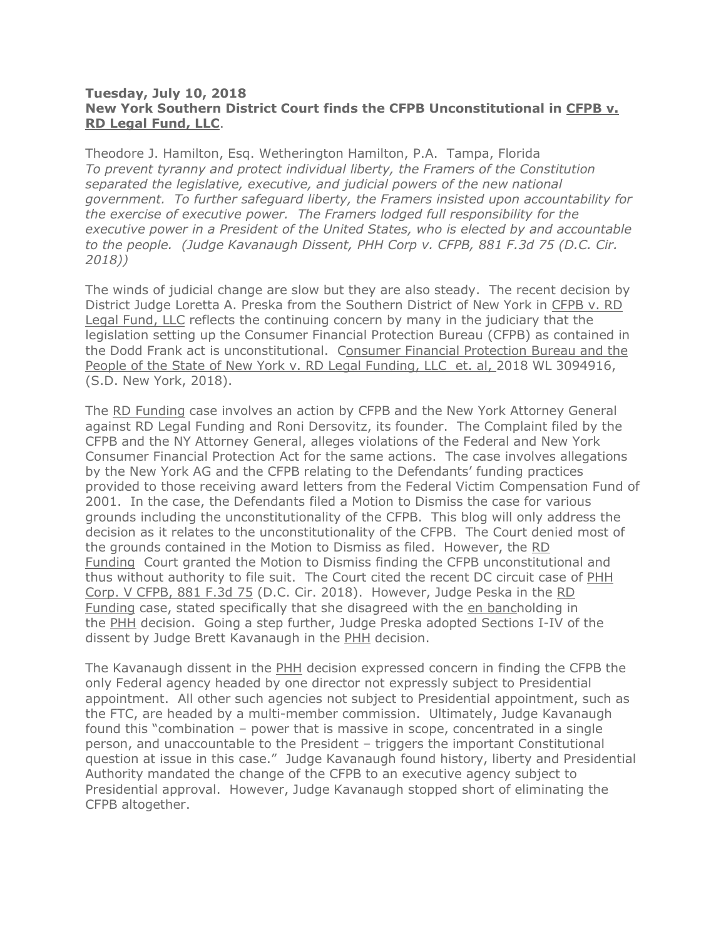## **Tuesday, July 10, 2018 New York Southern District Court finds the CFPB Unconstitutional in CFPB v. RD Legal Fund, LLC**.

Theodore J. Hamilton, Esq. Wetherington Hamilton, P.A. Tampa, Florida *To prevent tyranny and protect individual liberty, the Framers of the Constitution separated the legislative, executive, and judicial powers of the new national government. To further safeguard liberty, the Framers insisted upon accountability for the exercise of executive power. The Framers lodged full responsibility for the executive power in a President of the United States, who is elected by and accountable to the people. (Judge Kavanaugh Dissent, PHH Corp v. CFPB, 881 F.3d 75 (D.C. Cir. 2018))*

The winds of judicial change are slow but they are also steady. The recent decision by District Judge Loretta A. Preska from the Southern District of New York in CFPB v. RD Legal Fund, LLC reflects the continuing concern by many in the judiciary that the legislation setting up the Consumer Financial Protection Bureau (CFPB) as contained in the Dodd Frank act is unconstitutional. Consumer Financial Protection Bureau and the People of the State of New York v. RD Legal Funding, LLC et. al, 2018 WL 3094916, (S.D. New York, 2018).

The RD Funding case involves an action by CFPB and the New York Attorney General against RD Legal Funding and Roni Dersovitz, its founder. The Complaint filed by the CFPB and the NY Attorney General, alleges violations of the Federal and New York Consumer Financial Protection Act for the same actions. The case involves allegations by the New York AG and the CFPB relating to the Defendants' funding practices provided to those receiving award letters from the Federal Victim Compensation Fund of 2001. In the case, the Defendants filed a Motion to Dismiss the case for various grounds including the unconstitutionality of the CFPB. This blog will only address the decision as it relates to the unconstitutionality of the CFPB. The Court denied most of the grounds contained in the Motion to Dismiss as filed. However, the RD Funding Court granted the Motion to Dismiss finding the CFPB unconstitutional and thus without authority to file suit. The Court cited the recent DC circuit case of PHH Corp. V CFPB, 881 F.3d 75 (D.C. Cir. 2018). However, Judge Peska in the RD Funding case, stated specifically that she disagreed with the en bancholding in the PHH decision. Going a step further, Judge Preska adopted Sections I-IV of the dissent by Judge Brett Kavanaugh in the PHH decision.

The Kavanaugh dissent in the PHH decision expressed concern in finding the CFPB the only Federal agency headed by one director not expressly subject to Presidential appointment. All other such agencies not subject to Presidential appointment, such as the FTC, are headed by a multi-member commission. Ultimately, Judge Kavanaugh found this "combination – power that is massive in scope, concentrated in a single person, and unaccountable to the President – triggers the important Constitutional question at issue in this case." Judge Kavanaugh found history, liberty and Presidential Authority mandated the change of the CFPB to an executive agency subject to Presidential approval. However, Judge Kavanaugh stopped short of eliminating the CFPB altogether.